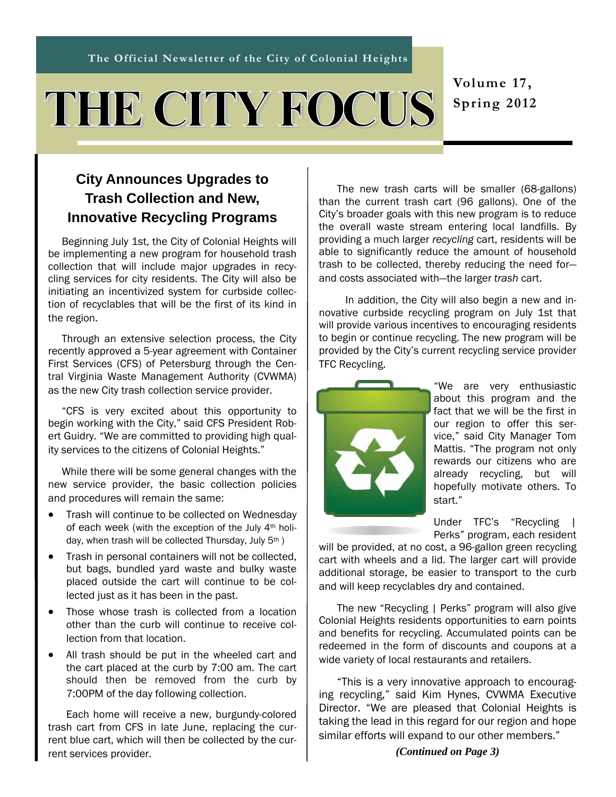# THE CITY FOCUS

**Volume 17, Spring 2012** 

## **City Announces Upgrades to Trash Collection and New, Innovative Recycling Programs**

Beginning July 1st, the City of Colonial Heights will be implementing a new program for household trash collection that will include major upgrades in recycling services for city residents. The City will also be initiating an incentivized system for curbside collection of recyclables that will be the first of its kind in the region.

Through an extensive selection process, the City recently approved a 5-year agreement with Container First Services (CFS) of Petersburg through the Central Virginia Waste Management Authority (CVWMA) as the new City trash collection service provider.

"CFS is very excited about this opportunity to begin working with the City," said CFS President Robert Guidry. "We are committed to providing high quality services to the citizens of Colonial Heights."

While there will be some general changes with the new service provider, the basic collection policies and procedures will remain the same:

- Trash will continue to be collected on Wednesday of each week (with the exception of the July 4th holiday, when trash will be collected Thursday, July 5<sup>th</sup>)
- Trash in personal containers will not be collected, but bags, bundled yard waste and bulky waste placed outside the cart will continue to be collected just as it has been in the past.
- Those whose trash is collected from a location other than the curb will continue to receive collection from that location.
- All trash should be put in the wheeled cart and the cart placed at the curb by 7:00 am. The cart should then be removed from the curb by 7:00PM of the day following collection.

Each home will receive a new, burgundy-colored trash cart from CFS in late June, replacing the current blue cart, which will then be collected by the current services provider.

The new trash carts will be smaller (68-gallons) than the current trash cart (96 gallons). One of the City's broader goals with this new program is to reduce the overall waste stream entering local landfills. By providing a much larger *recycling* cart, residents will be able to significantly reduce the amount of household trash to be collected, thereby reducing the need for and costs associated with—the larger *trash* cart.

L

 In addition, the City will also begin a new and innovative curbside recycling program on July 1st that will provide various incentives to encouraging residents to begin or continue recycling. The new program will be provided by the City's current recycling service provider TFC Recycling.



"We are very enthusiastic about this program and the fact that we will be the first in our region to offer this service," said City Manager Tom Mattis. "The program not only rewards our citizens who are already recycling, but will hopefully motivate others. To start."

Under TFC's "Recycling | Perks" program, each resident

will be provided, at no cost, a 96-gallon green recycling cart with wheels and a lid. The larger cart will provide additional storage, be easier to transport to the curb and will keep recyclables dry and contained.

The new "Recycling | Perks" program will also give Colonial Heights residents opportunities to earn points and benefits for recycling. Accumulated points can be redeemed in the form of discounts and coupons at a wide variety of local restaurants and retailers.

"This is a very innovative approach to encouraging recycling," said Kim Hynes, CVWMA Executive Director. "We are pleased that Colonial Heights is taking the lead in this regard for our region and hope similar efforts will expand to our other members."

*(Continued on Page 3)*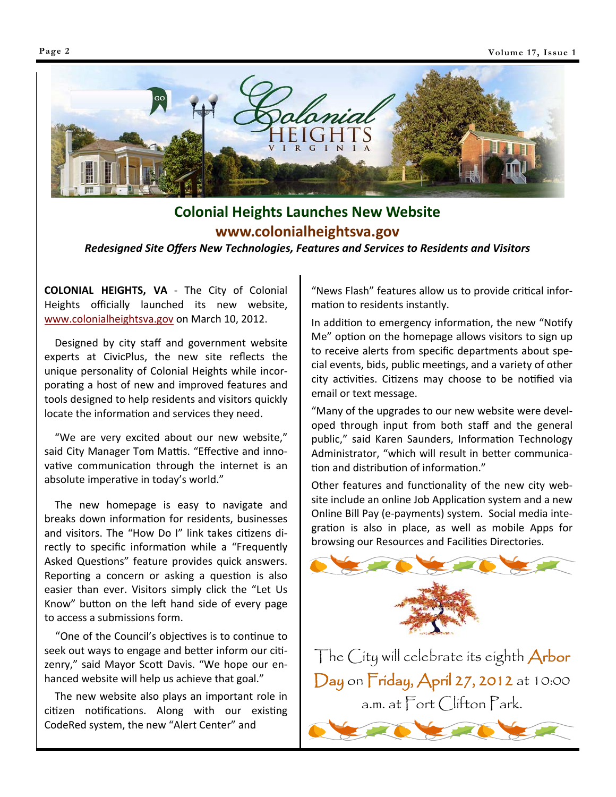

# **Colonial Heights Launches New Website www.colonialheightsva.gov**

*Redesigned Site Offers New Technologies, Features and Services to Residents and Visitors*

**COLONIAL HEIGHTS, VA** ‐ The City of Colonial Heights officially launched its new website, www.colonialheightsva.gov on March 10, 2012.

 Designed by city staff and government website experts at CivicPlus, the new site reflects the unique personality of Colonial Heights while incor‐ porating a host of new and improved features and tools designed to help residents and visitors quickly locate the information and services they need.

 "We are very excited about our new website," said City Manager Tom Mattis. "Effective and innovative communication through the internet is an absolute imperative in today's world."

 The new homepage is easy to navigate and breaks down information for residents, businesses and visitors. The "How Do I" link takes citizens directly to specific information while a "Frequently Asked Questions" feature provides quick answers. Reporting a concern or asking a question is also easier than ever. Visitors simply click the "Let Us Know" button on the left hand side of every page to access a submissions form.

"One of the Council's objectives is to continue to seek out ways to engage and better inform our citizenry," said Mayor Scott Davis. "We hope our enhanced website will help us achieve that goal."

 The new website also plays an important role in citizen notifications. Along with our existing CodeRed system, the new "Alert Center" and

"News Flash" features allow us to provide critical information to residents instantly.

In addition to emergency information, the new "Notify Me" option on the homepage allows visitors to sign up to receive alerts from specific departments about spe‐ cial events, bids, public meetings, and a variety of other city activities. Citizens may choose to be notified via email or text message.

"Many of the upgrades to our new website were devel‐ oped through input from both staff and the general public," said Karen Saunders, Information Technology Administrator, "which will result in better communication and distribution of information."

Other features and functionality of the new city website include an online Job Application system and a new Online Bill Pay (e‐payments) system. Social media inte‐ gration is also in place, as well as mobile Apps for browsing our Resources and Facilities Directories.



The City will celebrate its eighth **Arbor** Day on Friday, April 27, 2012 at 10:00 a.m. at Fort Clifton Park.

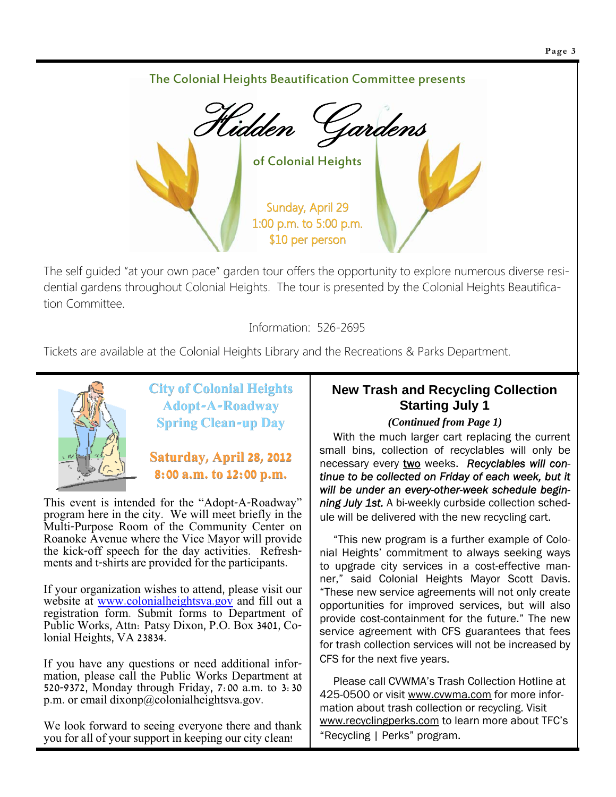# The Colonial Heights Beautification Committee presents Hidden Gardens of Colonial Heights Sunday, April 29 1:00 p.m. to 5:00 p.m. \$10 per person

The self guided "at your own pace" garden tour offers the opportunity to explore numerous diverse residential gardens throughout Colonial Heights. The tour is presented by the Colonial Heights Beautification Committee.

Information: 526-2695

Tickets are available at the Colonial Heights Library and the Recreations & Parks Department.



**City of Colonial Heights City of Colonial Heights Adopt-A-Roadway Spring Clean-up Day**

### **Saturday, April 28, 2012 8:00 a.m. to 12:00 p.m. 8:00 a.m. to 12:00 p.m.**

This event is intended for the "Adopt-A-Roadway" program here in the city. We will meet briefly in the Multi-Purpose Room of the Community Center on Roanoke Avenue where the Vice Mayor will provide the kick-off speech for the day activities. Refreshments and t-shirts are provided for the participants.

If your organization wishes to attend, please visit our website at www.colonialheightsva.gov and fill out a registration form. Submit forms to Department of Public Works, Attn: Patsy Dixon, P.O. Box 3401, Colonial Heights, VA 23834.

If you have any questions or need additional information, please call the Public Works Department at 520-9372, Monday through Friday, 7:00 a.m. to 3:30 p.m. or email dixonp@colonialheightsva.gov.

We look forward to seeing everyone there and thank you for all of your support in keeping our city clean!

### **New Trash and Recycling Collection Starting July 1**

#### *(Continued from Page 1)*

With the much larger cart replacing the current small bins, collection of recyclables will only be necessary every two weeks. *Recyclables will continue to be collected on Friday of each week, but it will be under an every-other-week schedule beginning July 1st.* A bi-weekly curbside collection schedule will be delivered with the new recycling cart.

"This new program is a further example of Colonial Heights' commitment to always seeking ways to upgrade city services in a cost-effective manner," said Colonial Heights Mayor Scott Davis. "These new service agreements will not only create opportunities for improved services, but will also provide cost-containment for the future." The new service agreement with CFS guarantees that fees for trash collection services will not be increased by CFS for the next five years.

Please call CVWMA's Trash Collection Hotline at 425-0500 or visit www.cvwma.com for more information about trash collection or recycling. Visit www.recyclingperks.com to learn more about TFC's "Recycling | Perks" program.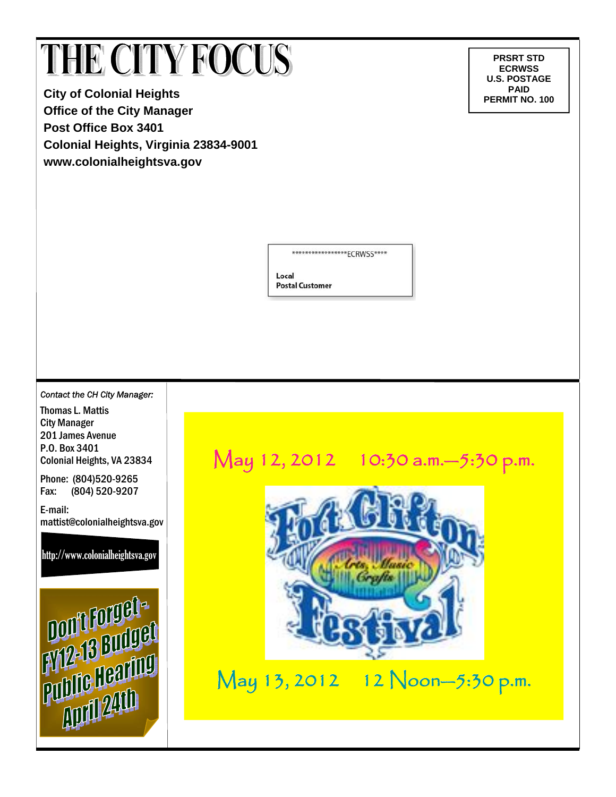# THE CITY FOCUS

**City of Colonial Heights Office of the City Manager Post Office Box 3401 Colonial Heights, Virginia 23834-9001 www.colonialheightsva.gov** 

**PRSRT STD ECRWSS U.S. POSTAGE PAID<br>PERMIT NO. 100** 

\*\*\*\*\*\*\*\*\*\*\*\*\*\*\*\*\*ECRWSS\*\*\*\*

Local **Postal Customer** 

*Contact the CH City Manager:* 

Thomas L. Mattis City Manager 201 James Avenue P.O. Box 3401 Colonial Heights, VA 23834

Phone: (804)520-9265

Fax: (804) 520-9207

E-mail: mattist@colonialheightsva.gov

http://www.colonialheightsva.gov



# May 12, 2012 10:30 a.m. - 5:30 p.m.



May 13, 2012 12 Noon-5:30 p.m.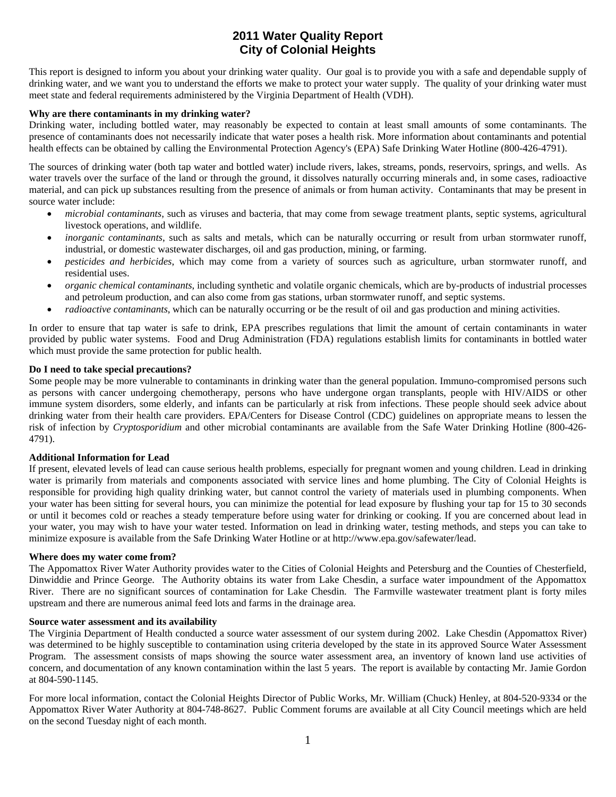#### **2011 Water Quality Report City of Colonial Heights**

This report is designed to inform you about your drinking water quality. Our goal is to provide you with a safe and dependable supply of drinking water, and we want you to understand the efforts we make to protect your water supply. The quality of your drinking water must meet state and federal requirements administered by the Virginia Department of Health (VDH).

#### **Why are there contaminants in my drinking water?**

Drinking water, including bottled water, may reasonably be expected to contain at least small amounts of some contaminants. The presence of contaminants does not necessarily indicate that water poses a health risk. More information about contaminants and potential health effects can be obtained by calling the Environmental Protection Agency's (EPA) Safe Drinking Water Hotline (800-426-4791).

The sources of drinking water (both tap water and bottled water) include rivers, lakes, streams, ponds, reservoirs, springs, and wells. As water travels over the surface of the land or through the ground, it dissolves naturally occurring minerals and, in some cases, radioactive material, and can pick up substances resulting from the presence of animals or from human activity. Contaminants that may be present in source water include:

- *microbial contaminants*, such as viruses and bacteria, that may come from sewage treatment plants, septic systems, agricultural livestock operations, and wildlife.
- *inorganic contaminants*, such as salts and metals, which can be naturally occurring or result from urban stormwater runoff, industrial, or domestic wastewater discharges, oil and gas production, mining, or farming.
- *pesticides and herbicides*, which may come from a variety of sources such as agriculture, urban stormwater runoff, and residential uses.
- *organic chemical contaminants*, including synthetic and volatile organic chemicals, which are by-products of industrial processes and petroleum production, and can also come from gas stations, urban stormwater runoff, and septic systems.
- *radioactive contaminants*, which can be naturally occurring or be the result of oil and gas production and mining activities.

In order to ensure that tap water is safe to drink, EPA prescribes regulations that limit the amount of certain contaminants in water provided by public water systems. Food and Drug Administration (FDA) regulations establish limits for contaminants in bottled water which must provide the same protection for public health.

#### **Do I need to take special precautions?**

Some people may be more vulnerable to contaminants in drinking water than the general population. Immuno-compromised persons such as persons with cancer undergoing chemotherapy, persons who have undergone organ transplants, people with HIV/AIDS or other immune system disorders, some elderly, and infants can be particularly at risk from infections. These people should seek advice about drinking water from their health care providers. EPA/Centers for Disease Control (CDC) guidelines on appropriate means to lessen the risk of infection by *Cryptosporidium* and other microbial contaminants are available from the Safe Water Drinking Hotline (800-426- 4791).

#### **Additional Information for Lead**

If present, elevated levels of lead can cause serious health problems, especially for pregnant women and young children. Lead in drinking water is primarily from materials and components associated with service lines and home plumbing. The City of Colonial Heights is responsible for providing high quality drinking water, but cannot control the variety of materials used in plumbing components. When your water has been sitting for several hours, you can minimize the potential for lead exposure by flushing your tap for 15 to 30 seconds or until it becomes cold or reaches a steady temperature before using water for drinking or cooking. If you are concerned about lead in your water, you may wish to have your water tested. Information on lead in drinking water, testing methods, and steps you can take to minimize exposure is available from the Safe Drinking Water Hotline or at http://www.epa.gov/safewater/lead.

#### **Where does my water come from?**

The Appomattox River Water Authority provides water to the Cities of Colonial Heights and Petersburg and the Counties of Chesterfield, Dinwiddie and Prince George. The Authority obtains its water from Lake Chesdin, a surface water impoundment of the Appomattox River. There are no significant sources of contamination for Lake Chesdin. The Farmville wastewater treatment plant is forty miles upstream and there are numerous animal feed lots and farms in the drainage area.

#### **Source water assessment and its availability**

The Virginia Department of Health conducted a source water assessment of our system during 2002. Lake Chesdin (Appomattox River) was determined to be highly susceptible to contamination using criteria developed by the state in its approved Source Water Assessment Program. The assessment consists of maps showing the source water assessment area, an inventory of known land use activities of concern, and documentation of any known contamination within the last 5 years. The report is available by contacting Mr. Jamie Gordon at 804-590-1145.

For more local information, contact the Colonial Heights Director of Public Works, Mr. William (Chuck) Henley, at 804-520-9334 or the Appomattox River Water Authority at 804-748-8627. Public Comment forums are available at all City Council meetings which are held on the second Tuesday night of each month.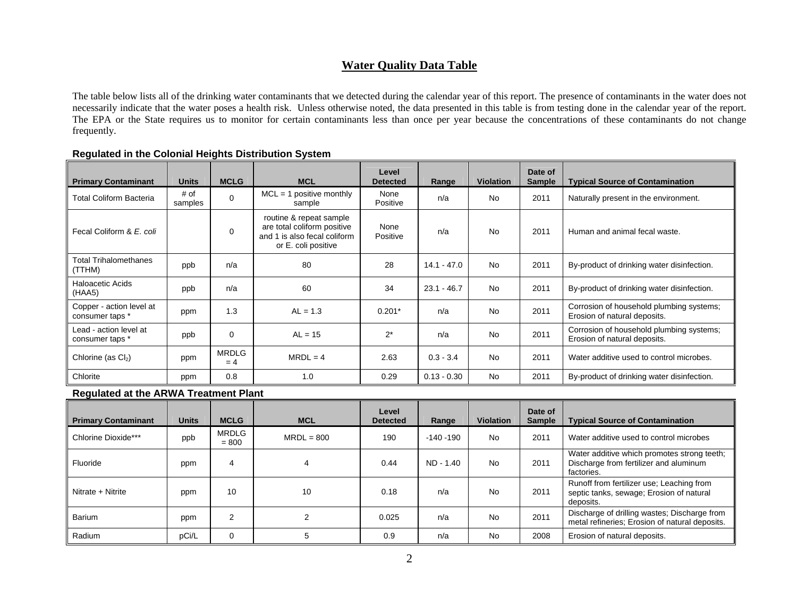#### **Water Quality Data Table**

The table below lists all of the drinking water contaminants that we detected during the calendar year of this report. The presence of contaminants in the water does not necessarily indicate that the water poses a health risk. Unless otherwise noted, the data presented in this table is from testing done in the calendar year of the report. The EPA or the State requires us to monitor for certain contaminants less than once per year because the concentrations of these contaminants do not change frequently.

| <b>Primary Contaminant</b>                  | <b>Units</b>                                 | <b>MCLG</b>           | <b>MCL</b>                                                                                                    | Level<br><b>Detected</b> | Range         | <b>Violation</b> | Date of<br><b>Sample</b> | <b>Typical Source of Contamination</b>                                   |
|---------------------------------------------|----------------------------------------------|-----------------------|---------------------------------------------------------------------------------------------------------------|--------------------------|---------------|------------------|--------------------------|--------------------------------------------------------------------------|
| <b>Total Coliform Bacteria</b>              | # of<br>samples                              | 0                     | $MCL = 1$ positive monthly<br>sample                                                                          | None<br>Positive         | n/a           | <b>No</b>        | 2011                     | Naturally present in the environment.                                    |
| Fecal Coliform & E. coli                    |                                              | $\Omega$              | routine & repeat sample<br>are total coliform positive<br>and 1 is also fecal coliform<br>or E. coli positive | None<br>Positive         | n/a           | <b>No</b>        | 2011                     | Human and animal fecal waste.                                            |
| <b>Total Trihalomethanes</b><br>(TTHM)      | ppb                                          | n/a                   | 80                                                                                                            | 28                       | $14.1 - 47.0$ | <b>No</b>        | 2011                     | By-product of drinking water disinfection.                               |
| <b>Haloacetic Acids</b><br>(HAA5)           | ppb                                          | n/a                   | 60                                                                                                            | 34                       | $23.1 - 46.7$ | <b>No</b>        | 2011                     | By-product of drinking water disinfection.                               |
| Copper - action level at<br>consumer taps * | ppm                                          | 1.3                   | $AL = 1.3$                                                                                                    | $0.201*$                 | n/a           | <b>No</b>        | 2011                     | Corrosion of household plumbing systems;<br>Erosion of natural deposits. |
| Lead - action level at<br>consumer taps *   | ppb                                          | 0                     | $AL = 15$                                                                                                     | $2^*$                    | n/a           | <b>No</b>        | 2011                     | Corrosion of household plumbing systems;<br>Erosion of natural deposits. |
| Chlorine (as $Cl2$ )                        | ppm                                          | <b>MRDLG</b><br>$= 4$ | $MRDL = 4$                                                                                                    | 2.63                     | $0.3 - 3.4$   | <b>No</b>        | 2011                     | Water additive used to control microbes.                                 |
| Chlorite                                    | ppm                                          | 0.8                   | 1.0                                                                                                           | 0.29                     | $0.13 - 0.30$ | No               | 2011                     | By-product of drinking water disinfection.                               |
|                                             | <b>Regulated at the ARWA Treatment Plant</b> |                       |                                                                                                               |                          |               |                  |                          |                                                                          |
|                                             |                                              |                       |                                                                                                               | <b>Lavel</b>             |               |                  | $Data =$                 |                                                                          |

#### **Regulated in the Colonial Heights Distribution System**

| <b>Primary Contaminant</b> | <b>Units</b> | <b>MCLG</b>             | <b>MCL</b>   | Level<br><b>Detected</b> | Range        | <b>Violation</b> | Date of<br><b>Sample</b> | <b>Typical Source of Contamination</b>                                                              |
|----------------------------|--------------|-------------------------|--------------|--------------------------|--------------|------------------|--------------------------|-----------------------------------------------------------------------------------------------------|
| Chlorine Dioxide***        | ppb          | <b>MRDLG</b><br>$= 800$ | $MRDL = 800$ | 190                      | $-140 - 190$ | <b>No</b>        | 2011                     | Water additive used to control microbes                                                             |
| Fluoride                   | ppm          | 4                       | 4            | 0.44                     | ND - 1.40    | <b>No</b>        | 2011                     | Water additive which promotes strong teeth;<br>Discharge from fertilizer and aluminum<br>factories. |
| Nitrate + Nitrite          | ppm          | 10                      | 10           | 0.18                     | n/a          | No               | 2011                     | Runoff from fertilizer use; Leaching from<br>septic tanks, sewage; Erosion of natural<br>deposits.  |
| Barium                     | ppm          | 2                       | າ            | 0.025                    | n/a          | <b>No</b>        | 2011                     | Discharge of drilling wastes; Discharge from<br>metal refineries; Erosion of natural deposits.      |
| Radium                     | pCi/L        | 0                       | 5            | 0.9                      | n/a          | <b>No</b>        | 2008                     | Erosion of natural deposits.                                                                        |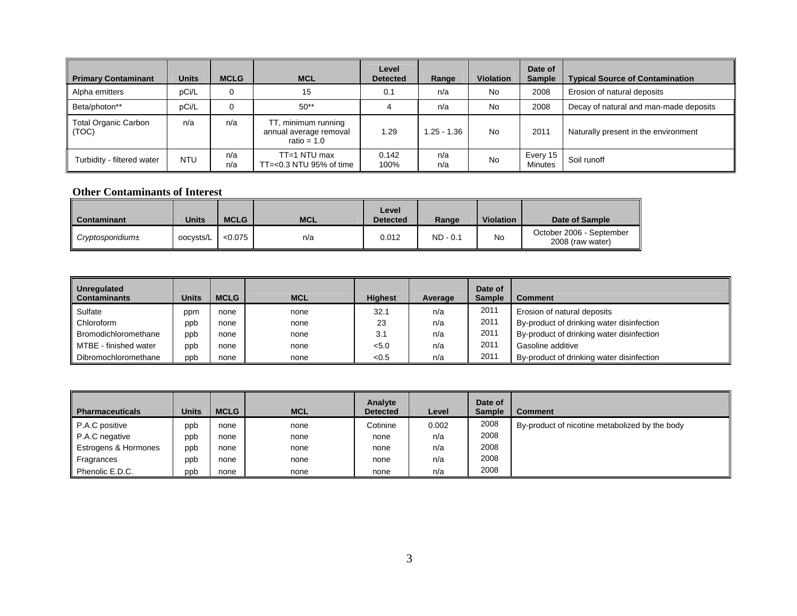| <b>Primary Contaminant</b>           | <b>Units</b> | <b>MCLG</b> | <b>MCL</b>                                                     | Level<br><b>Detected</b> | Range        | <b>Violation</b> | Date of<br><b>Sample</b> | <b>Typical Source of Contamination</b> |
|--------------------------------------|--------------|-------------|----------------------------------------------------------------|--------------------------|--------------|------------------|--------------------------|----------------------------------------|
| Alpha emitters                       | pCi/L        | 0           | 15                                                             | 0.1                      | n/a          | <b>No</b>        | 2008                     | Erosion of natural deposits            |
| Beta/photon**                        | pCi/L        | 0           | $50**$                                                         |                          | n/a          | <b>No</b>        | 2008                     | Decay of natural and man-made deposits |
| <b>Total Organic Carbon</b><br>(TOC) | n/a          | n/a         | TT, minimum running<br>annual average removal<br>ratio = $1.0$ | 1.29                     | $.25 - 1.36$ | <b>No</b>        | 2011                     | Naturally present in the environment   |
| Turbidity - filtered water           | <b>NTU</b>   | n/a<br>n/a  | $TT=1$ NTU max<br>$TT = < 0.3$ NTU 95% of time                 | 0.142<br>100%            | n/a<br>n/a   | <b>No</b>        | Every 15<br>Minutes      | Soil runoff                            |

#### **Other Contaminants of Interest**

| <b>Contaminant</b>   | <b>Units</b> | <b>MCLG</b> | <b>MCL</b> | Level<br><b>Detected</b> | Range      | <b>Violation</b> | Date of Sample                               |
|----------------------|--------------|-------------|------------|--------------------------|------------|------------------|----------------------------------------------|
| $Cryptosporidium\pm$ | oocysts/L    | < 0.075     | n/a        | 0.012                    | $ND - 0.1$ | No               | October 2006 - September<br>2008 (raw water) |

| Unregulated<br><b>Contaminants</b> | Units | <b>MCLG</b> | <b>MCL</b> | <b>Highest</b> | Average | Date of<br><b>Sample</b> | <b>Comment</b>                            |
|------------------------------------|-------|-------------|------------|----------------|---------|--------------------------|-------------------------------------------|
| Sulfate                            | ppm   | none        | none       | 32.1           | n/a     | 2011                     | Erosion of natural deposits               |
| Chloroform                         | ppb   | none        | none       | 23             | n/a     | 2011                     | By-product of drinking water disinfection |
| Bromodichloromethane               | ppb   | none        | none       | 3.1            | n/a     | 2011                     | By-product of drinking water disinfection |
| MTBE - finished water              | ppb   | none        | none       | < 5.0          | n/a     | 2011                     | Gasoline additive                         |
| Dibromochloromethane               | ppb   | none        | none       | < 0.5          | n/a     | 2011                     | By-product of drinking water disinfection |

| <b>Pharmaceuticals</b> | <b>Units</b> | <b>MCLG</b> | <b>MCL</b> | Analyte<br><b>Detected</b> | Level | Date of<br><b>Sample</b> | <b>Comment</b>                                 |
|------------------------|--------------|-------------|------------|----------------------------|-------|--------------------------|------------------------------------------------|
| P.A.C positive         | ppb          | none        | none       | Cotinine                   | 0.002 | 2008                     | By-product of nicotine metabolized by the body |
| P.A.C negative         | ppb          | none        | none       | none                       | n/a   | 2008                     |                                                |
| Estrogens & Hormones   | ppb          | none        | none       | none                       | n/a   | 2008                     |                                                |
| Fragrances             | ppb          | none        | none       | none                       | n/a   | 2008                     |                                                |
| Phenolic E.D.C.        | ppb          | none        | none       | none                       | n/a   | 2008                     |                                                |